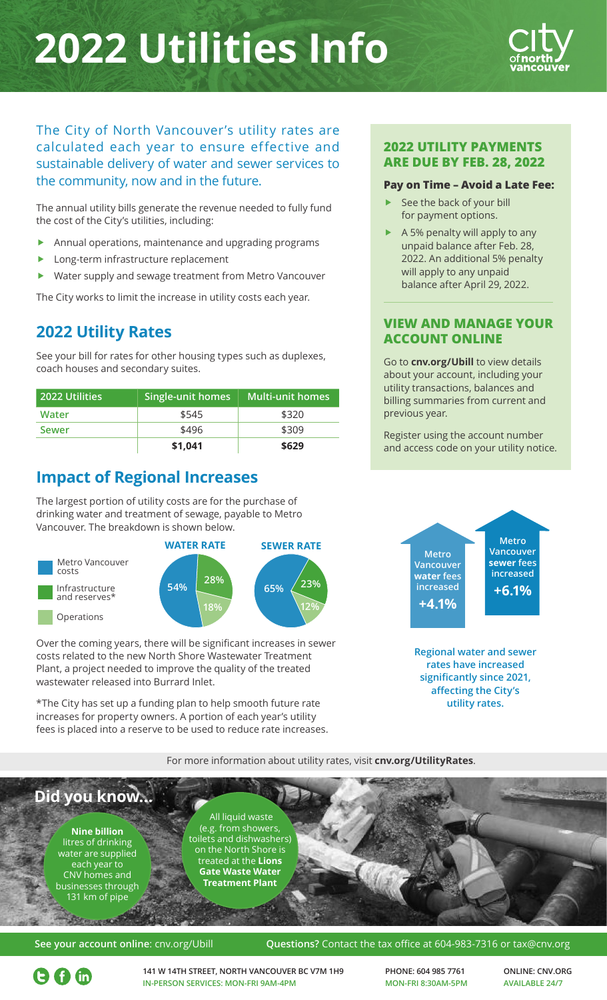## **2022 Utilities Info**



The City of North Vancouver's utility rates are calculated each year to ensure effective and sustainable delivery of water and sewer services to the community, now and in the future.

The annual utility bills generate the revenue needed to fully fund the cost of the City's utilities, including:

- Annual operations, maintenance and upgrading programs
- Long-term infrastructure replacement
- Water supply and sewage treatment from Metro Vancouver

The City works to limit the increase in utility costs each year.

## **2022 Utility Rates**

See your bill for rates for other housing types such as duplexes, coach houses and secondary suites.

| <b>2022 Utilities</b> | Single-unit homes | <b>Multi-unit homes</b> |
|-----------------------|-------------------|-------------------------|
| Water                 | \$545             | \$320                   |
| <b>Sewer</b>          | \$496             | \$309                   |
|                       | \$1,041           | \$629                   |

## **Impact of Regional Increases**

The largest portion of utility costs are for the purchase of drinking water and treatment of sewage, payable to Metro Vancouver. The breakdown is shown below.



Over the coming years, there will be significant increases in sewer costs related to the new North Shore Wastewater Treatment Plant, a project needed to improve the quality of the treated wastewater released into Burrard Inlet.

\*The City has set up a funding plan to help smooth future rate increases for property owners. A portion of each year's utility fees is placed into a reserve to be used to reduce rate increases.

### **2022 UTILITY PAYMENTS ARE DUE BY FEB. 28, 2022**

#### **Pay on Time – Avoid a Late Fee:**

- See the back of your bill for payment options.
- f A 5% penalty will apply to any unpaid balance after Feb. 28, 2022. An additional 5% penalty will apply to any unpaid balance after April 29, 2022.

## **VIEW AND MANAGE YOUR ACCOUNT ONLINE**

Go to **[cnv.org/Ubill](http://www.cnv.org/ubill)** to view details about your account, including your utility transactions, balances and billing summaries from current and previous year.

Register using the account number and access code on your utility notice.



**Regional water and sewer rates have increased significantly since 2021, affecting the City's utility rates.**

For more information about utility rates, visit **[cnv.org/UtilityRates](http://www.cnv.org/UtilityRates)**.



#### **See your account online**: [cnv.org/Ubill](http://www.cnv.org/Ubill) **Questions?** Contact the tax office at 604-983-7316 or tax@cnv.org

 $\Theta$   $\boldsymbol{\Omega}$   $\boldsymbol{\omega}$ 

**141 W 14TH STREET, NORTH VANCOUVER BC V7M 1H9 IN-PERSON SERVICES: MON-FRI 9AM-4PM**

**PHONE: 604 985 7761 MON-FRI 8:30AM-5PM** **ONLINE: [CNV.ORG](http://www.cnv.org) AVAILABLE 24/7**